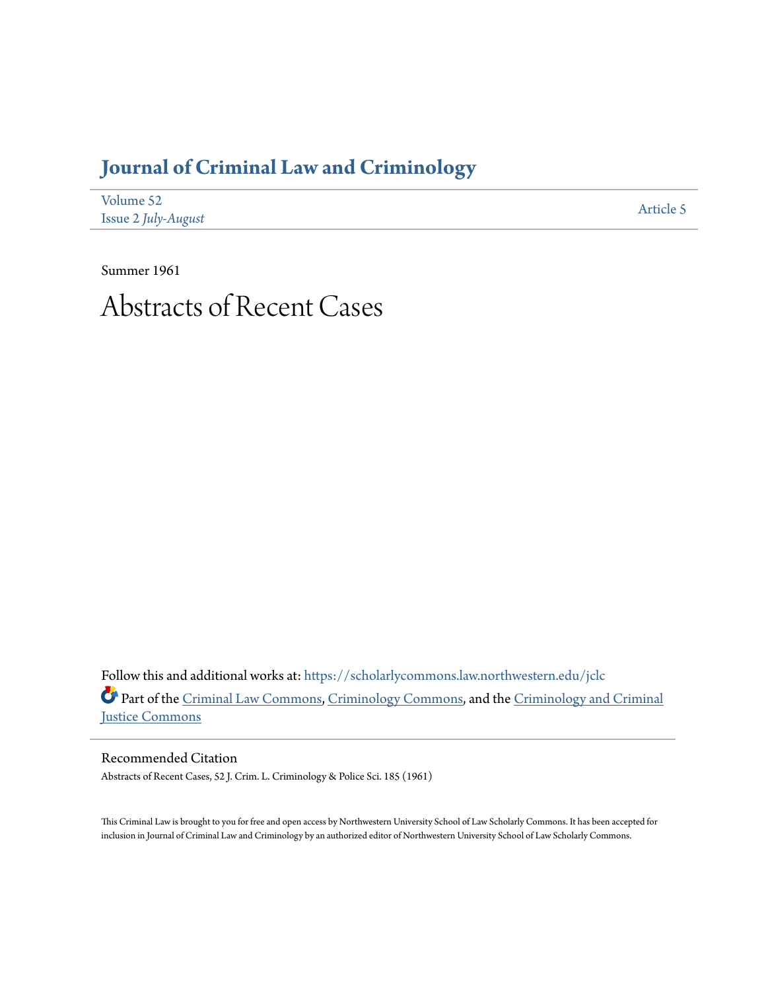## **[Journal of Criminal Law and Criminology](https://scholarlycommons.law.northwestern.edu/jclc?utm_source=scholarlycommons.law.northwestern.edu%2Fjclc%2Fvol52%2Fiss2%2F5&utm_medium=PDF&utm_campaign=PDFCoverPages)**

| Volume 52           | Article 5 |
|---------------------|-----------|
| Issue 2 July-August |           |

Summer 1961

# Abstracts of Recent Cases

Follow this and additional works at: [https://scholarlycommons.law.northwestern.edu/jclc](https://scholarlycommons.law.northwestern.edu/jclc?utm_source=scholarlycommons.law.northwestern.edu%2Fjclc%2Fvol52%2Fiss2%2F5&utm_medium=PDF&utm_campaign=PDFCoverPages) Part of the [Criminal Law Commons](http://network.bepress.com/hgg/discipline/912?utm_source=scholarlycommons.law.northwestern.edu%2Fjclc%2Fvol52%2Fiss2%2F5&utm_medium=PDF&utm_campaign=PDFCoverPages), [Criminology Commons](http://network.bepress.com/hgg/discipline/417?utm_source=scholarlycommons.law.northwestern.edu%2Fjclc%2Fvol52%2Fiss2%2F5&utm_medium=PDF&utm_campaign=PDFCoverPages), and the [Criminology and Criminal](http://network.bepress.com/hgg/discipline/367?utm_source=scholarlycommons.law.northwestern.edu%2Fjclc%2Fvol52%2Fiss2%2F5&utm_medium=PDF&utm_campaign=PDFCoverPages) [Justice Commons](http://network.bepress.com/hgg/discipline/367?utm_source=scholarlycommons.law.northwestern.edu%2Fjclc%2Fvol52%2Fiss2%2F5&utm_medium=PDF&utm_campaign=PDFCoverPages)

Recommended Citation Abstracts of Recent Cases, 52 J. Crim. L. Criminology & Police Sci. 185 (1961)

This Criminal Law is brought to you for free and open access by Northwestern University School of Law Scholarly Commons. It has been accepted for inclusion in Journal of Criminal Law and Criminology by an authorized editor of Northwestern University School of Law Scholarly Commons.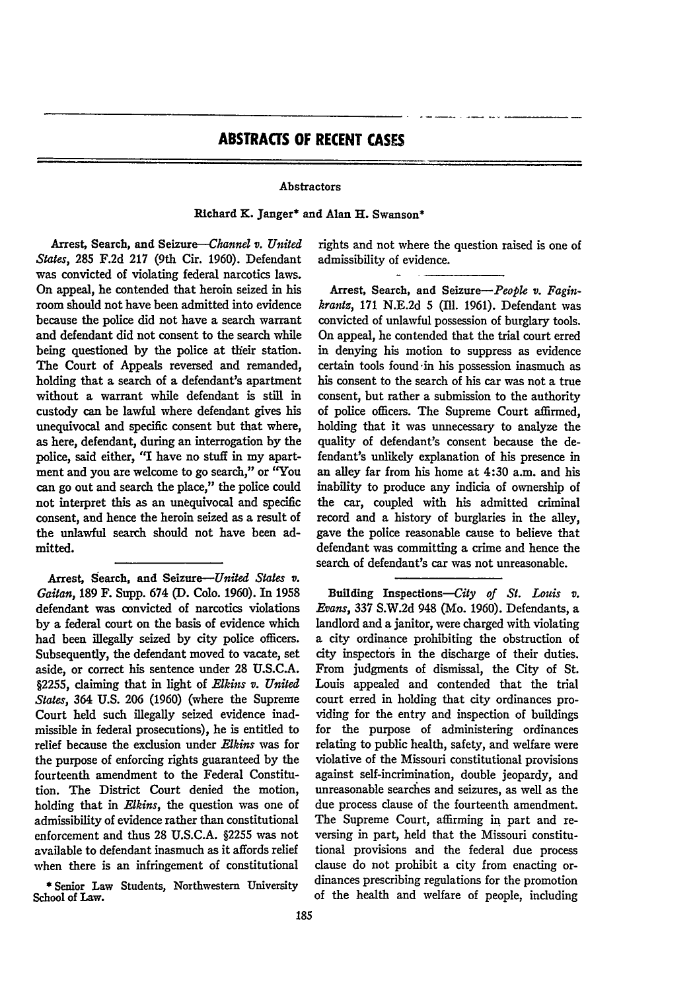### **ABSTRACTS OF RECENT CASES**

#### Abstractors

#### Richard K. Janger\* and Alan H. Swanson\*

Arrest, Search, and *Seizure-Channel v. United States,* **285 F.2d 217** (9th Cir. **1960).** Defendant was convicted of violating federal narcotics laws. On appeal, he contended that heroin seized in his room should not have been admitted into evidence because the police did not have a search warrant and defendant did not consent to the search while being questioned **by** the police at their station. The Court of Appeals reversed and remanded, holding that a search of a defendant's apartment without a warrant while defendant is still in custody can be lawful where defendant gives his unequivocal and specific consent but that where, as here, defendant, during an interrogation **by** the police, said either, **'q** have no stuff in my apartment and you are welcome to go search," or "You can go out and search the place," the police could not interpret this as an unequivocal and specific consent, and hence the heroin seized as a result of the unlawful search should not have been admitted.

Arrest, Search, and Seizure-United *States v. Gaitan,* **189** F. Supp. 674 **(D. Colo. 1960).** In **1958** defendant was convicted of narcotics violations **by** a federal court on the basis of evidence which had been illegally seized **by** city police officers. Subsequently, the defendant moved to vacate, set aside, or correct his sentence under 28 U.S.C.A. §2255, claiming that in light of *Elkins v. United States,* 364 U.S. 206 (1960) (where the Supreme Court held such illegally seized evidence inadmissible in federal prosecutions), he is entitled to relief because the exclusion under *Elkins* was for the purpose of enforcing rights guaranteed **by** the fourteenth amendment to the Federal Constitution. The District Court denied the motion, holding that in *Elkins,* the question was one of admissibility of evidence rather than constitutional enforcement and thus 28 U.S.C.A. §2255 was not available to defendant inasmuch as it affords relief when there is an infringement of constitutional

\* Senior Law Students, Northwestern University School of Law.

rights and not where the question raised is one of admissibility of evidence.

Arrest, Search, and *Seizure-People v. Faginkrantz,* 171 N.E.2d 5 (I1. 1961). Defendant was convicted of unlawful possession of burglary tools. On appeal, he contended that the trial court erred in denying his motion to suppress as evidence certain tools found -in his possession inasmuch as his consent to the search of his car was not a true consent, but rather a submission to the authority of police officers. The Supreme Court affirmed, holding that it was unnecessary to analyze the quality of defendant's consent because the defendant's unlikely explanation of his presence in an alley far from his home at 4:30 a.m. and his inability to produce any indicia of ownership of the car, coupled with his admitted criminal record and a history of burglaries in the alley, gave the police reasonable cause to believe that defendant was committing a crime and hence the search of defendant's car was not unreasonable.

Building Inspections-City *of St. Louis v. Evans,* 337 S.W.2d 948 (Mo. 1960). Defendants, a landlord and a janitor, were charged with violating a city ordinance prohibiting the obstruction of city inspectors in the discharge of their duties. From judgments of dismissal, the City of St. Louis appealed and contended that the trial court erred in holding that city ordinances providing for the entry and inspection of buildings for the purpose of administering ordinances relating to public health, safety, and welfare were violative of the Missouri constitutional provisions against self-incrimination, double jeopardy, and unreasonable searches and seizures, as well as the due process clause of the fourteenth amendment. The Supreme Court, affirming in part and reversing in part, held that the Missouri constitutional provisions and the federal due process clause do not prohibit a city from enacting ordinances prescribing regulations for the promotion of the health and welfare of people, including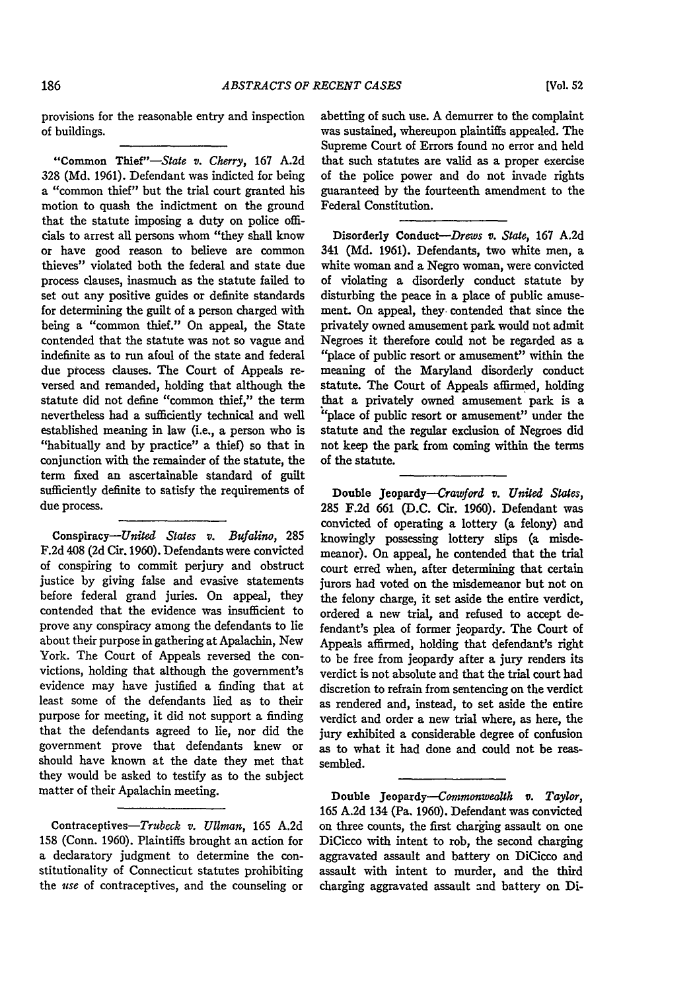provisions for the reasonable entry and inspection of buildings.

"Common Thief"-State v. *Cherry,* 167 A.2d 328 (Md. 1961). Defendant was indicted for being a "common thief" but the trial court granted his motion to quash the indictment on the ground that the statute imposing a duty on police officials to arrest all persons whom "they shall know or have good reason to believe are common thieves" violated both the federal and state due process clauses, inasmuch as the statute failed to set out any positive guides or definite standards for determining the guilt of a person charged with being a "common thief." On appeal, the State contended that the statute was not so vague and indefinite as to run afoul of the state and federal due process clauses. The Court of Appeals reversed and remanded, holding that although the statute did not define "common thief," the term nevertheless had a sufficiently technical and well established meaning in law (i.e., a person who is "habitually and by practice" a thief) so that in conjunction with the remainder of the statute, the term fixed an ascertainable standard of guilt sufficiently definite to satisfy the requirements of due process.

Conspiracy-United *States v. Bufalino,* 285 F.2d 408 **(2d** Cir. 1960). Defendants were convicted of conspiring to commit perjury and obstruct justice by giving false and evasive statements before federal grand juries. On appeal, they contended that the evidence was insufficient to prove any conspiracy among the defendants to lie about their purpose in gathering at Apalachin, New York. The Court of Appeals reversed the convictions, holding that although the government's evidence may have justified a finding that at least some of the defendants lied as to their purpose for meeting, it did not support a finding that the defendants agreed to lie, nor did the government prove that defendants knew or should have known at the date they met that they would be asked to testify as to the subject matter of their Apalachin meeting.

Contraceptives-Trubeck *v. Ullman,* **165 A.2d** 158 (Conn. 1960). Plaintiffs brought an action for a declaratory judgment to determine the constitutionality of Connecticut statutes prohibiting the *use* of contraceptives, and the counseling or abetting of such use. A demurrer to the complaint was sustained, whereupon plaintiffs appealed. The Supreme Court of Errors found no error and held that such statutes are valid as a proper exercise of the police power and do not invade rights guaranteed by the fourteenth amendment to the Federal Constitution.

Disorderly Conduct-Drews v. *State,* **167** A.2d 341 **(Md. 1961).** Defendants, two white men, a white woman and a Negro woman, were convicted of violating a disorderly conduct statute by disturbing the peace in a place of public amusement. On appeal, they contended that since the privately owned amusement park would not admit Negroes it therefore could not be regarded as a "place of public resort or amusement" within the meaning of the Maryland disorderly conduct statute. The Court of Appeals affirmed, holding that a privately owned amusement park is a "place of public resort or amusement" under the statute and the regular exclusion of Negroes did not keep the park from coming within the terms of the statute.

Double Jeopardy-Crawford v. United States, **285 F.2d 661 (D.C.** Cir. **1960).** Defendant was convicted of operating a lottery (a felony) and knowingly possessing lottery slips (a misdemeanor). On appeal, he contended that the trial court erred when, after determining that certain jurors had voted on the misdemeanor but not on the felony charge, it set aside the entire verdict, ordered a new trial, and refused to accept defendant's plea of former jeopardy. The Court of Appeals affirmed, holding that defendant's right to be free from jeopardy after a jury renders its verdict is not absolute and that the trial court had discretion to refrain from sentencing on the verdict as rendered and, instead, to set aside the entire verdict and order a new trial where, as here, the jury exhibited a considerable degree of confusion as to what it had done and could not be reassembled.

Double Jeopardy-Commonwealth v. *Taylor,* **165 A.2d** 134 (Pa. **1960).** Defendant was convicted on three counts, the first charging assault on one DiCicco with intent to rob, the second charging aggravated assault and battery on DiCicco and assault with intent to murder, and the third charging aggravated assault and battery on Di-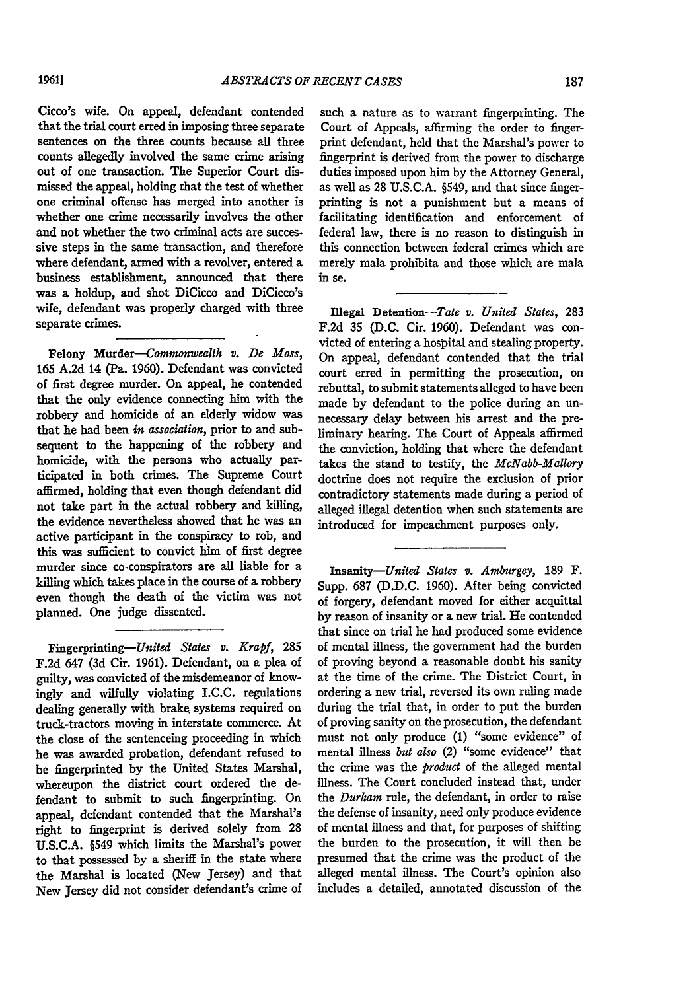Cicco's wife. On appeal, defendant contended that the trial court erred in imposing three separate sentences on the three counts because all three counts allegedly involved the same crime arising out of one transaction. The Superior Court dismissed the appeal, holding that the test of whether one criminal offense has merged into another is whether one crime necessarily involves the other and not whether the two criminal acts are successive steps in the same transaction, and therefore where defendant, armed with a revolver, entered a business establishment, announced that there was a holdup, and shot DiCicco and DiCicco's wife, defendant was properly charged with three separate crimes.

Felony Murder-Commonwealth v. *De Moss,* **165 A.2d** 14 (Pa. 1960). Defendant was convicted of first degree murder. On appeal, he contended that the only evidence connecting him with the robbery and homicide of an elderly widow was that he had been *in* association, prior to and subsequent to the happening of the robbery and homicide, with the persons who actually participated in both crimes. The Supreme Court affirmed, holding that even though defendant did not take part in the actual robbery and killing, the evidence nevertheless showed that he was an active participant in the conspiracy to rob, and this was sufficient to convict him of first degree murder since co-conspirators are all liable for a killing which takes place in the course of a robbery even though the death of the victim was not planned. One judge dissented.

Fingerprinting-United *States v. Krapf,* **285** F.2d 647 **(3d** Cir. 1961). Defendant, on a plea of guilty, was convicted of the misdemeanor of knowingly and wilfully violating I.C.C. regulations dealing generally with brake, systems required on truck-tractors moving in interstate commerce. At the close of the sentenceing proceeding in which he was awarded probation, defendant refused to be fingerprinted by the United States Marshal, whereupon the district court ordered the defendant to submit to such fingerprinting. On appeal, defendant contended that the Marshal's right to fingerprint is derived solely from 28 U.S.C.A. §549 which limits the Marshal's power to that possessed by a sheriff in the state where the Marshal is located (New Jersey) and that New Jersey did not consider defendant's crime of

such a nature as to warrant fingerprinting. The Court of Appeals, affirming the order to fingerprint defendant, held that the Marshal's power to fingerprint is derived from the power to discharge duties imposed upon him by the Attorney General, as well as 28 U.S.C.A. §549, and that since fingerprinting is not a punishment but a means of facilitating identification and enforcement of federal law, there is no reason to distinguish in this connection between federal crimes which are merely mala prohibita and those which are mala in se.

Illegal Detention--Tate *v. United States,* **283 F.2d 35 (D.C.** Cir. 1960). Defendant was convicted of entering a hospital and stealing property. On appeal, defendant contended that the trial court erred in permitting the prosecution, on rebuttal, to submit statements alleged to have been made **by** defendant to the police during an unnecessary delay between his arrest and the preliminary hearing. The Court of Appeals affirmed the conviction, holding that where the defendant takes the stand to testify, the *McNabb-Mallory* doctrine does not require the exclusion of prior contradictory statements made during a period of alleged illegal detention when such statements are introduced for impeachment purposes only.

*Insanity-United States v. Amburgey,* 189 F. Supp. **687** (D.D.C. 1960). After being convicted of forgery, defendant moved for either acquittal **by** reason of insanity or a new trial. He contended that since on trial he had produced some evidence of mental illness, the government had the burden of proving beyond a reasonable doubt his sanity at the time of the crime. The District Court, in ordering a new trial, reversed its own ruling made during the trial that, in order to put the burden of proving sanity on the prosecution, the defendant must not only produce (1) "some evidence" of mental illness *but also* (2) "some evidence" that the crime was the *product* of the alleged mental illness. The Court concluded instead that, under the *Durham* rule, the defendant, in order to raise the defense of insanity, need only produce evidence of mental illness and that, for purposes of shifting the burden to the prosecution, it will then be presumed that the crime was the product of the alleged mental illness. The Court's opinion also includes a detailed, annotated discussion of the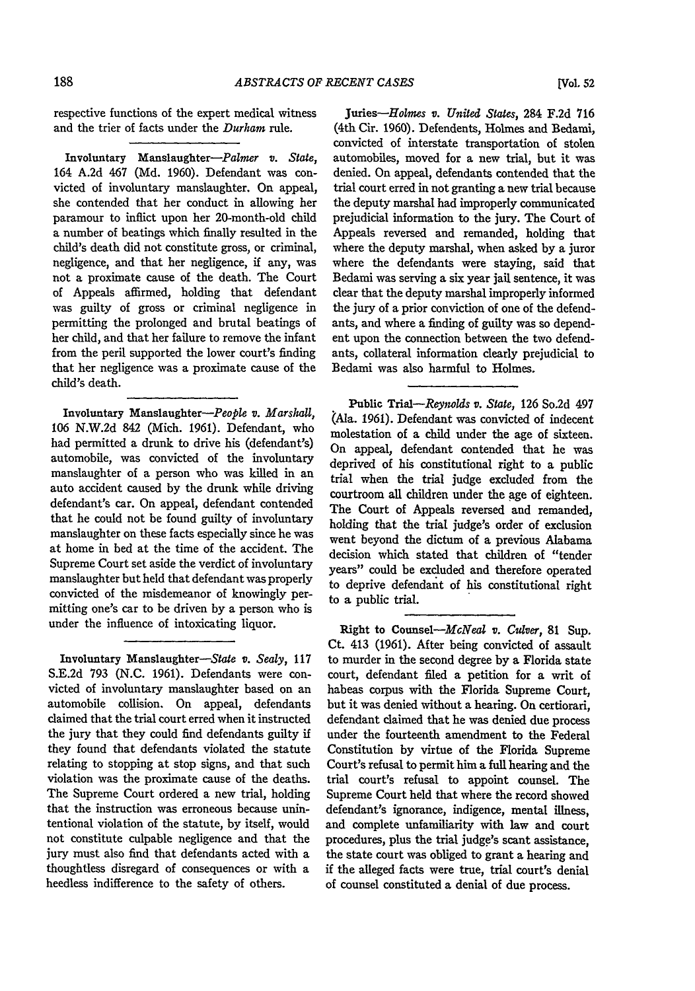respective functions of the expert medical witness and the trier of facts under the *Durham* rule.

Involuntary Manslaughter-Palmer *v. State,* 164 A.2d 467 (Md. 1960). Defendant was convicted of involuntary manslaughter. On appeal, she contended that her conduct in allowing her paramour to inflict upon her 20-month-old child a number of beatings which finally resulted in the child's death did not constitute gross, or criminal, negligence, and that her negligence, if any, was not a proximate cause of the death. The Court of Appeals affirmed, holding that defendant was guilty of gross or criminal negligence in permitting the prolonged and brutal beatings of her child, and that her failure to remove the infant from the peril supported the lower court's finding that her negligence was a proximate cause of the child's death.

Involuntary Manslaughter-People *v. Marshall,* 106 N.W.2d 842 (Mich. 1961). Defendant, who had permitted a drunk to drive his (defendant's) automobile, was convicted of the involuntary manslaughter of a person who was killed in an auto accident caused by the drunk while driving defendant's car. On appeal, defendant contended that he could not be found guilty of involuntary manslaughter on these facts especially since he was at home in bed at the time of the accident. The Supreme Court set aside the verdict of involuntary manslaughter but held that defendant was properly convicted of the misdemeanor of knowingly permitting one's car to be driven by a person who is under the influence of intoxicating liquor.

Involuntary Manslaughter-State *v. Sealy,* **117** S.E.2d 793 (N.C. 1961). Defendants were convicted of involuntary manslaughter based on an automobile collision. On appeal, defendants claimed that the trial court erred when it instructed the jury that they could find defendants guilty if they found that defendants violated the statute relating to stopping at stop signs, and that such violation was the proximate cause of the deaths. The Supreme Court ordered a new trial, holding that the instruction was erroneous because unintentional violation of the statute, by itself, would not constitute culpable negligence and that the jury must also find that defendants acted with a thoughtless disregard of consequences or with a heedless indifference to the safety of others.

Juries-Holmes *v. United States,* 284 **F.2d 716** (4th Cir. **1960).** Defendents, Holmes and Bedami, convicted of interstate transportation of stolen automobiles, moved for a new trial, but it was denied. On appeal, defendants contended that the trial court erred in not granting a new trial because the deputy marshal had improperly communicated prejudicial information to the jury. The Court of Appeals reversed and remanded, holding that where the deputy marshal, when asked by a juror where the defendants were staying, said that Bedami was serving a six year jail sentence, it was clear that the deputy marshal improperly informed the jury of a prior conviction of one of the defendants, and where a finding of guilty was so dependent upon the connection between the two defendants, collateral information dearly prejudicial to Bedami was also harmful to Holmes.

Public *Trial-Rynwlds v. State,* 126 So.2d 497 (Ala. 1961). Defendant was convicted of indecent molestation of a child under the age of sixteen. On appeal, defendant contended that he was deprived of his constitutional right to a public trial when the trial judge excluded from the courtroom all children under the age of eighteen. The Court of Appeals reversed and remanded, holding that the trial judge's order of exclusion went beyond the dictum of a previous Alabama decision which stated that children of "tender years" could be excluded and therefore operated to deprive defendant of his constitutional right to a public trial.

Right to *Counsel-McNel av. Culver,* 81 Sup. Ct. 413 (1961). After being convicted of assault to murder in the second degree by a Florida state court, defendant filed a petition for a writ of habeas corpus with the Florida Supreme Court, but it was denied without a hearing. On certiorari, defendant claimed that he was denied due process under the fourteenth amendment to the Federal Constitution by virtue of the Florida Supreme Court's refusal to permit him a full hearing and the trial court's refusal to appoint counsel. The Supreme Court held that where the record showed defendant's ignorance, indigence, mental illness, and complete unfamiliarity with law and court procedures, plus the trial judge's scant assistance, the state court was obliged to grant a hearing and if the alleged facts were true, trial court's denial of counsel constituted a denial of due process.